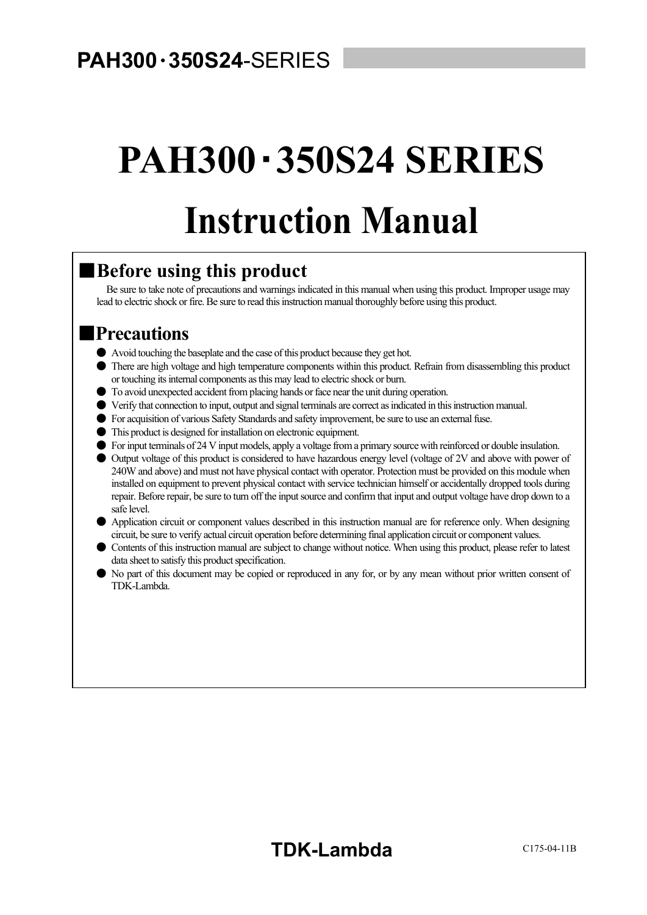# **PAH300**・**350S24 SERIES Instruction Manual**

### ■**Before using this product**

Be sure to take note of precautions and warnings indicated in this manual when using this product. Improper usage may lead to electric shock or fire. Be sure to read this instruction manual thoroughly before using this product.

 $\overline{a}$ 

### ■**Precautions**

- Avoid touching the baseplate and the case of this product because they get hot.
- There are high voltage and high temperature components within this product. Refrain from disassembling this product or touching its internal components as this may lead to electric shock or burn.
- To avoid unexpected accident from placing hands or face near the unit during operation.
- Verify that connection to input, output and signal terminals are correct as indicated in this instruction manual.
- For acquisition of various Safety Standards and safety improvement, be sure to use an external fuse.
- This product is designed for installation on electronic equipment.
- For input terminals of 24 V input models, apply a voltage from a primary source with reinforced or double insulation.

● Output voltage of this product is considered to have hazardous energy level (voltage of 2V and above with power of 240W and above) and must not have physical contact with operator. Protection must be provided on this module when installed on equipment to prevent physical contact with service technician himself or accidentally dropped tools during repair. Before repair, be sure to turn off the input source and confirm that input and output voltage have drop down to a safe level.

- Application circuit or component values described in this instruction manual are for reference only. When designing circuit, be sure to verify actual circuit operation before determining final application circuit or component values.
- Contents of this instruction manual are subject to change without notice. When using this product, please refer to latest data sheet to satisfy this product specification.
- No part of this document may be copied or reproduced in any for, or by any mean without prior written consent of TDK-Lambda.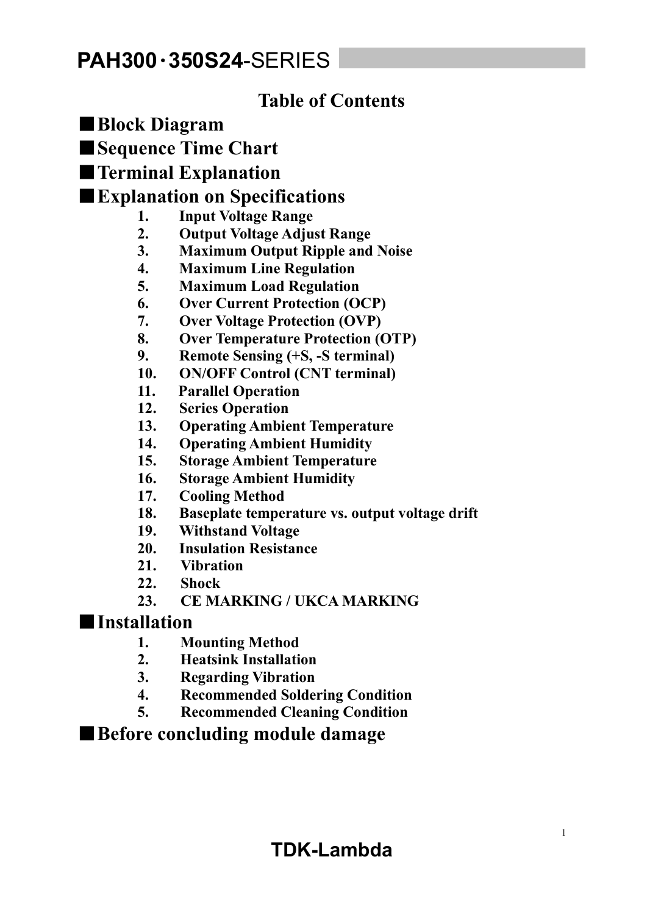### **Table of Contents**

- ■**Block Diagram**
- ■**Sequence Time Chart**
- ■**Terminal Explanation**

### ■**Explanation on Specifications**

- **1. Input Voltage Range**
- **2. Output Voltage Adjust Range**
- **3. Maximum Output Ripple and Noise**
- **4. Maximum Line Regulation**
- **5. Maximum Load Regulation**
- **6. Over Current Protection (OCP)**
- **7. Over Voltage Protection (OVP)**
- **8. Over Temperature Protection (OTP)**
- **9. Remote Sensing (+S, -S terminal)**
- **10. ON/OFF Control (CNT terminal)**
- **11. Parallel Operation**
- **12. Series Operation**
- **13. Operating Ambient Temperature**
- **14. Operating Ambient Humidity**
- **15. Storage Ambient Temperature**
- **16. Storage Ambient Humidity**
- **17. Cooling Method**
- **18. Baseplate temperature vs. output voltage drift**
- **19. Withstand Voltage**
- **20. Insulation Resistance**
- **21. Vibration**
- **22. Shock**
- **23. CE MARKING / UKCA MARKING**

### ■**Installation**

- **1. Mounting Method**
- **2. Heatsink Installation**
- **3. Regarding Vibration**
- **4. Recommended Soldering Condition**
- **5. Recommended Cleaning Condition**

### ■ Before concluding module damage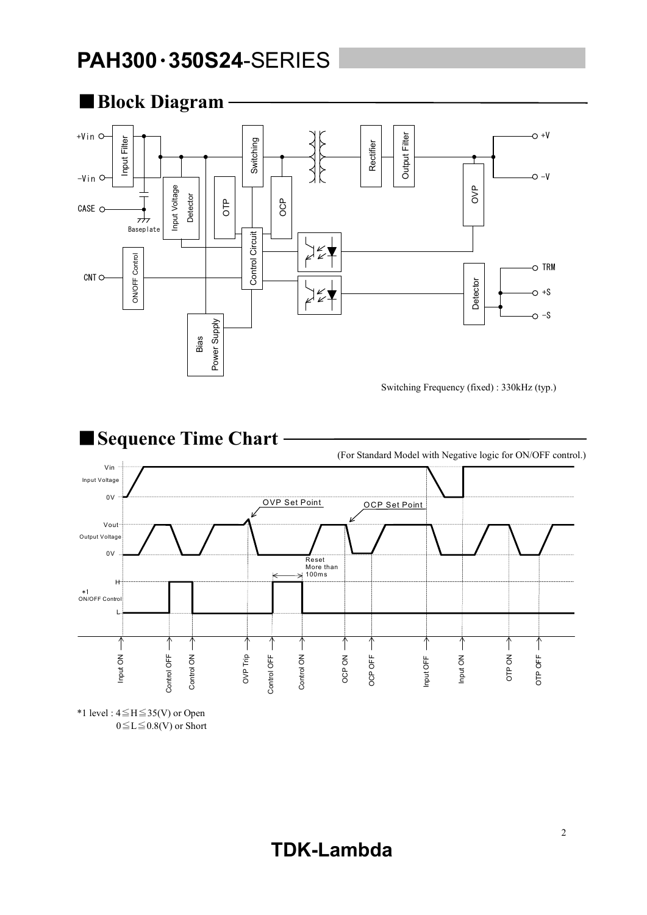

■**Sequence Time Chart** (For Standard Model with Negative logic for ON/OFF control.) Vin Input Voltage 0V OVP Set Point OCP Set Point Vout Output Voltage 0V Reset More than  $100ms$ H \*1 ON/OFF Control L Control OFF  $\rightarrow$  $\overline{\uparrow}$  $\overline{\uparrow}$  $\overline{\textcolor{red}{\uparrow}}$  $\uparrow$ Control ON  $\rightarrow$  $\uparrow$  $\uparrow$  $\uparrow$  $\uparrow$  $\uparrow$  $\uparrow$ OTP ON Input ON OVP Trip Control OFF Control ON OCP ON OCP OFF Input ON Input OFF OTP OFF Control OFF Control ON Control OFF Control ON OCP OFF OTP OFF

\*1 level : 4≦H≦35(V) or Open  $0 \le L \le 0.8$ (V) or Short

### **TDK-Lambda**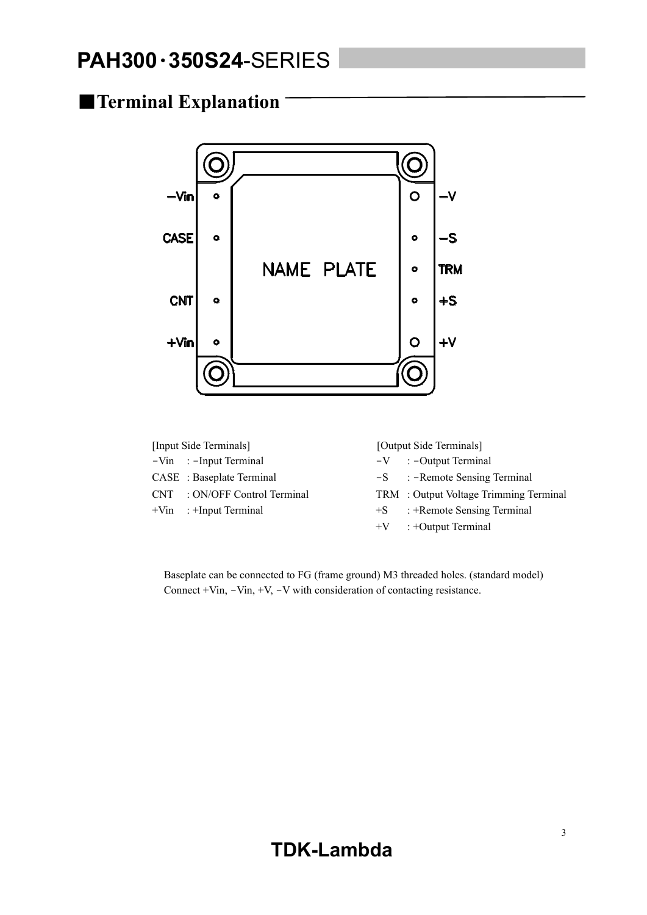### ■**Terminal Explanation**



| [Input Side Terminals] |                               | [Output Side Terminals] |                                        |  |
|------------------------|-------------------------------|-------------------------|----------------------------------------|--|
|                        | $-Vin$ : -Input Terminal      |                         | $-V$ : -Output Terminal                |  |
|                        | CASE : Baseplate Terminal     |                         | $-S$ : -Remote Sensing Terminal        |  |
|                        | CNT : ON/OFF Control Terminal |                         | TRM : Output Voltage Trimming Terminal |  |
|                        | $+V$ in : $+I$ nput Terminal  | $+S$                    | : +Remote Sensing Terminal             |  |
|                        |                               |                         | $+V$ : +Output Terminal                |  |

Baseplate can be connected to FG (frame ground) M3 threaded holes. (standard model) Connect +Vin, -Vin, +V, -V with consideration of contacting resistance.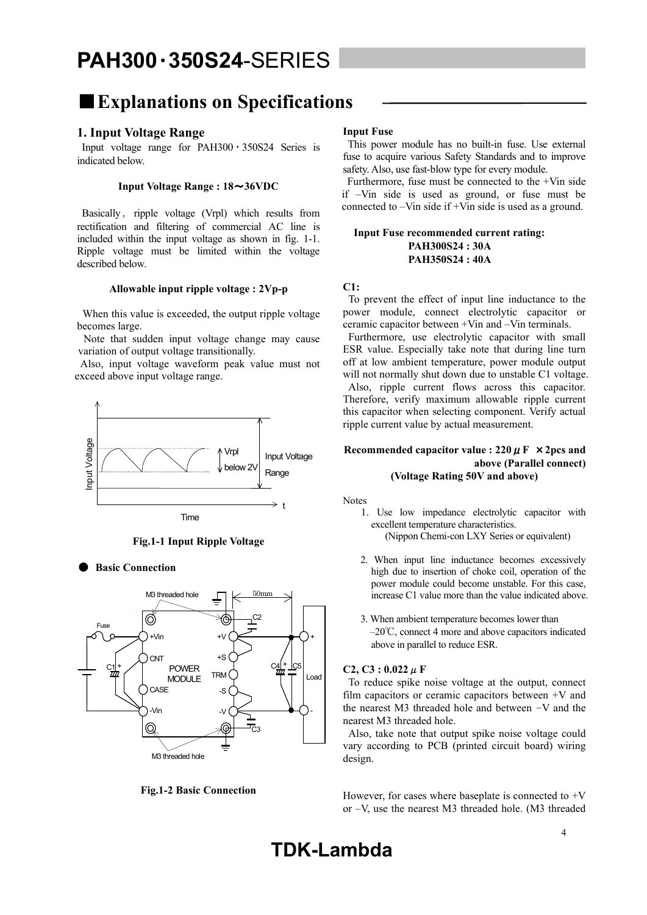### ■**Explanations on Specifications**

#### **1. Input Voltage Range**

Input voltage range for  $PAH300 \cdot 350S24$  Series is indicated below.

#### **Input Voltage Range : 18**~**36VDC**

Basically, ripple voltage (Vrpl) which results from rectification and filtering of commercial AC line is included within the input voltage as shown in fig. 1-1. Ripple voltage must be limited within the voltage described below.

#### **Allowable input ripple voltage : 2Vp-p**

 When this value is exceeded, the output ripple voltage becomes large.

 Note that sudden input voltage change may cause variation of output voltage transitionally.

 Also, input voltage waveform peak value must not exceed above input voltage range.



**Fig.1-1 Input Ripple Voltage** 

**Basic Connection** 



**Fig.1-2 Basic Connection** 

#### **Input Fuse**

 This power module has no built-in fuse. Use external fuse to acquire various Safety Standards and to improve safety. Also, use fast-blow type for every module.

 Furthermore, fuse must be connected to the +Vin side if –Vin side is used as ground, or fuse must be connected to –Vin side if +Vin side is used as a ground.

#### **Input Fuse recommended current rating: PAH300S24 : 30A PAH350S24 : 40A**

#### **C1:**

 To prevent the effect of input line inductance to the power module, connect electrolytic capacitor or ceramic capacitor between +Vin and –Vin terminals.

 Furthermore, use electrolytic capacitor with small ESR value. Especially take note that during line turn off at low ambient temperature, power module output will not normally shut down due to unstable C1 voltage. Also, ripple current flows across this capacitor. Therefore, verify maximum allowable ripple current this capacitor when selecting component. Verify actual ripple current value by actual measurement.

#### **Recommended capacitor value : 220**μ**F** ×**2pcs and above (Parallel connect) (Voltage Rating 50V and above)**

Notes

- 1. Use low impedance electrolytic capacitor with excellent temperature characteristics. (Nippon Chemi-con LXY Series or equivalent)
- 2. When input line inductance becomes excessively high due to insertion of choke coil, operation of the power module could become unstable. For this case, increase C1 value more than the value indicated above.
- 3. When ambient temperature becomes lower than –20℃, connect 4 more and above capacitors indicated above in parallel to reduce ESR.

#### $C2, C3 : 0.022 \mu$  **F**

To reduce spike noise voltage at the output, connect film capacitors or ceramic capacitors between +V and the nearest M3 threaded hole and between –V and the nearest M3 threaded hole.

 Also, take note that output spike noise voltage could vary according to PCB (printed circuit board) wiring design.

However, for cases where baseplate is connected to  $+V$ or –V, use the nearest M3 threaded hole. (M3 threaded

### **TDK-Lambda**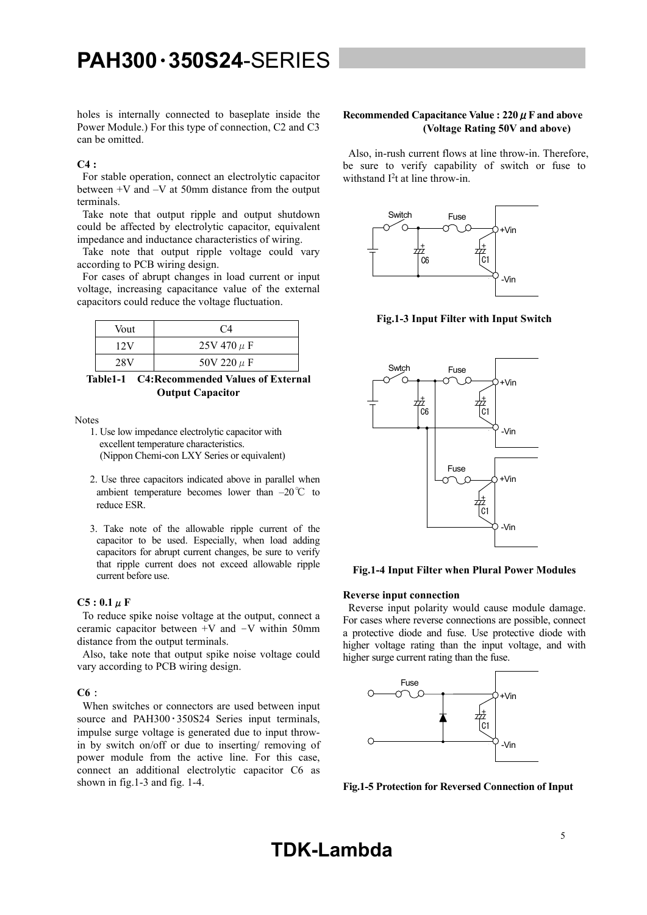holes is internally connected to baseplate inside the Power Module.) For this type of connection, C2 and C3 can be omitted.

#### $C4$

For stable operation, connect an electrolytic capacitor between +V and –V at 50mm distance from the output terminals.

 Take note that output ripple and output shutdown could be affected by electrolytic capacitor, equivalent impedance and inductance characteristics of wiring.

 Take note that output ripple voltage could vary according to PCB wiring design.

 For cases of abrupt changes in load current or input voltage, increasing capacitance value of the external capacitors could reduce the voltage fluctuation.

| Vout | C4              |  |  |
|------|-----------------|--|--|
| 12V  | $25V 470 \mu F$ |  |  |
| 28V  | 50V 220 $\mu$ F |  |  |

**Table1-1 C4:Recommended Values of External Output Capacitor** 

Notes

- 1. Use low impedance electrolytic capacitor with excellent temperature characteristics. (Nippon Chemi-con LXY Series or equivalent)
- 2. Use three capacitors indicated above in parallel when ambient temperature becomes lower than –20℃ to reduce ESR.
- 3. Take note of the allowable ripple current of the capacitor to be used. Especially, when load adding capacitors for abrupt current changes, be sure to verify that ripple current does not exceed allowable ripple current before use.

#### $C5: 0.1 \mu F$

 To reduce spike noise voltage at the output, connect a ceramic capacitor between +V and –V within 50mm distance from the output terminals.

 Also, take note that output spike noise voltage could vary according to PCB wiring design.

#### **C6**:

When switches or connectors are used between input source and PAH300 · 350S24 Series input terminals, impulse surge voltage is generated due to input throwin by switch on/off or due to inserting/ removing of power module from the active line. For this case, connect an additional electrolytic capacitor C6 as shown in fig.1-3 and fig. 1-4.

#### **Recommended Capacitance Value : 220**μ**F and above (Voltage Rating 50V and above)**

Also, in-rush current flows at line throw-in. Therefore, be sure to verify capability of switch or fuse to withstand I<sup>2</sup>t at line throw-in.



**Fig.1-3 Input Filter with Input Switch** 



#### **Fig.1-4 Input Filter when Plural Power Modules**

#### **Reverse input connection**

 Reverse input polarity would cause module damage. For cases where reverse connections are possible, connect a protective diode and fuse. Use protective diode with higher voltage rating than the input voltage, and with higher surge current rating than the fuse.



**Fig.1-5 Protection for Reversed Connection of Input**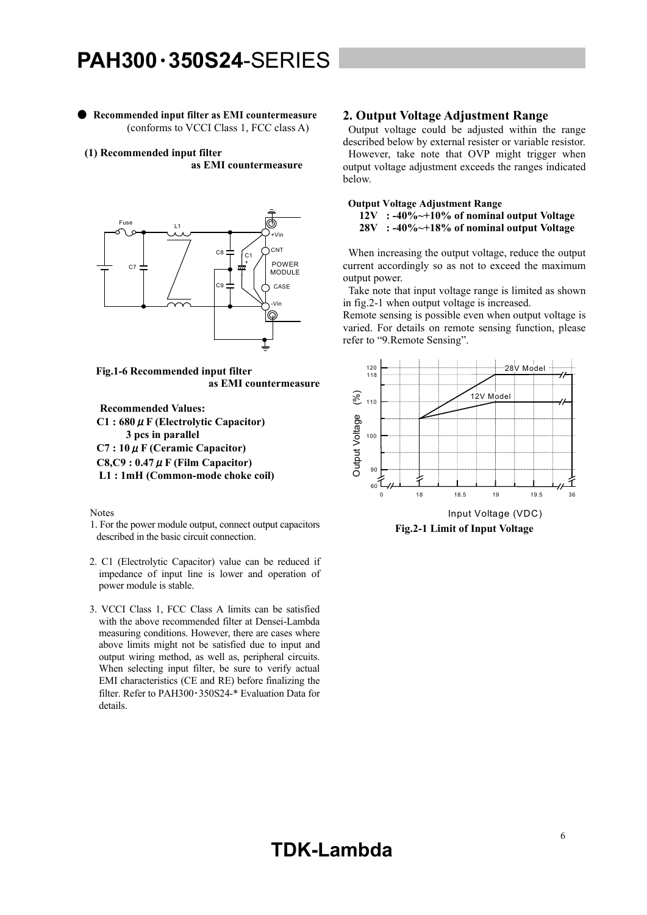● **Recommended input filter as EMI countermeasure**  (conforms to VCCI Class 1, FCC class A)

**(1) Recommended input filter as EMI countermeasure** 



**Fig.1-6 Recommended input filter as EMI countermeasure** 

**Recommended Values: C1 : 680**μ**F (Electrolytic Capacitor) 3 pcs in parallel C7 : 10**μ**F (Ceramic Capacitor) C8,C9 : 0.47**μ**F (Film Capacitor) L1 : 1mH (Common-mode choke coil)**

Notes

- 1. For the power module output, connect output capacitors described in the basic circuit connection.
- 2. C1 (Electrolytic Capacitor) value can be reduced if impedance of input line is lower and operation of power module is stable.
- 3. VCCI Class 1, FCC Class A limits can be satisfied with the above recommended filter at Densei-Lambda measuring conditions. However, there are cases where above limits might not be satisfied due to input and output wiring method, as well as, peripheral circuits. When selecting input filter, be sure to verify actual EMI characteristics (CE and RE) before finalizing the filter. Refer to PAH300・350S24-\* Evaluation Data for details.

#### **2. Output Voltage Adjustment Range**

 Output voltage could be adjusted within the range described below by external resister or variable resistor. However, take note that OVP might trigger when output voltage adjustment exceeds the ranges indicated below.

#### **Output Voltage Adjustment Range 12V : -40%~+10% of nominal output Voltage**

 **28V : -40%~+18% of nominal output Voltage** 

 When increasing the output voltage, reduce the output current accordingly so as not to exceed the maximum output power.

 Take note that input voltage range is limited as shown in fig.2-1 when output voltage is increased.

Remote sensing is possible even when output voltage is varied. For details on remote sensing function, please refer to "9.Remote Sensing".



**Fig.2-1 Limit of Input Voltage**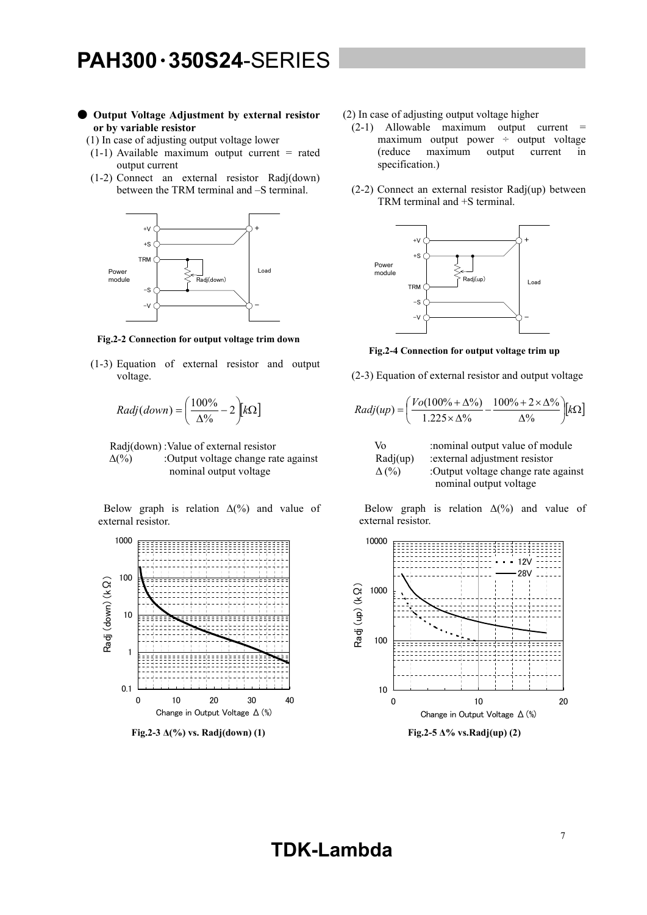#### ● **Output Voltage Adjustment by external resistor or by variable resistor**

- '(1) In case of adjusting output voltage lower
- $(1-1)$  Available maximum output current = rated output current
- (1-2) Connect an external resistor Radj(down) between the TRM terminal and –S terminal.



**Fig.2-2 Connection for output voltage trim down** 

(1-3) Equation of external resistor and output voltage.

$$
Radj(down) = \left(\frac{100\%}{\Delta\%} - 2\right) k\Omega
$$

Radj(down) :Value of external resistor

 $\Delta(\%)$  :Output voltage change rate against nominal output voltage

Below graph is relation  $\Delta(\%)$  and value of external resistor.



**Fig.2-3 Δ(%) vs. Radj(down) (1)** 

#### (2) In case of adjusting output voltage higher

- $(2-1)$  Allowable maximum output current = maximum output power  $\div$  output voltage (reduce maximum output current in specification.)
- (2-2) Connect an external resistor Radj(up) between TRM terminal and +S terminal.



**Fig.2-4 Connection for output voltage trim up** 

(2-3) Equation of external resistor and output voltage

$$
Radj(up) = \left(\frac{Vo(100\% + \Delta\%)}{1.225 \times \Delta\%} - \frac{100\% + 2 \times \Delta\%}{\Delta\%}\right)[k\Omega]
$$

\n Vo   : nominal output value of module  
\n Radj(up)  :external adjustment resistor  
\n
$$
\Delta \left( \frac{9}{6} \right)
$$
  :Output voltage change rate against nominal output voltage\n

Below graph is relation  $\Delta(\%)$  and value of external resistor.



**Fig.2-5 Δ% vs.Radj(up) (2)**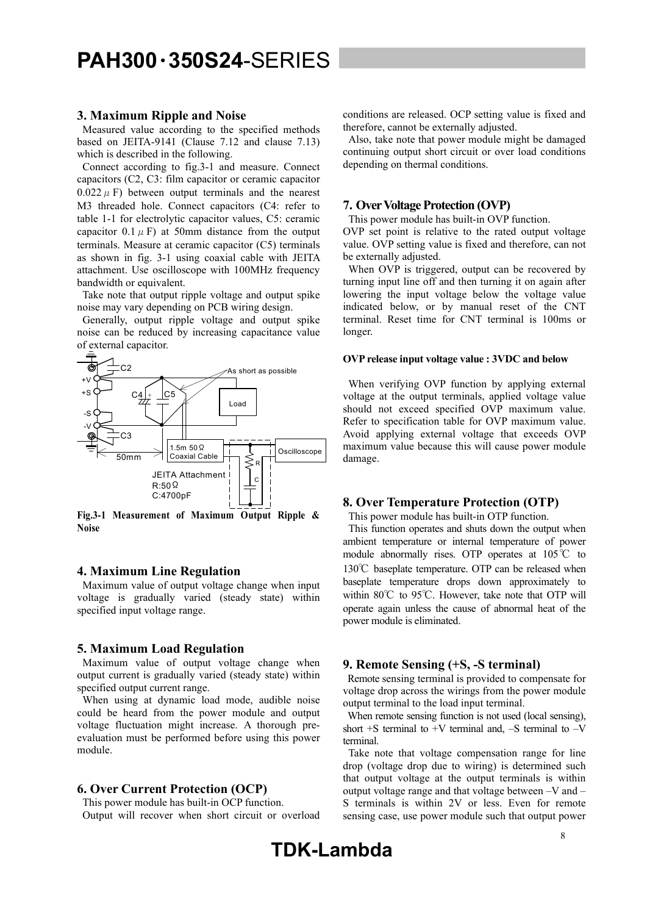#### **3. Maximum Ripple and Noise**

 Measured value according to the specified methods based on JEITA-9141 (Clause 7.12 and clause 7.13) which is described in the following.

 Connect according to fig.3-1 and measure. Connect capacitors (C2, C3: film capacitor or ceramic capacitor  $0.022 \mu$  F) between output terminals and the nearest M3 threaded hole. Connect capacitors (C4: refer to table 1-1 for electrolytic capacitor values, C5: ceramic capacitor  $0.1 \mu$  F) at 50mm distance from the output terminals. Measure at ceramic capacitor (C5) terminals as shown in fig. 3-1 using coaxial cable with JEITA attachment. Use oscilloscope with 100MHz frequency bandwidth or equivalent.

 Take note that output ripple voltage and output spike noise may vary depending on PCB wiring design.

 Generally, output ripple voltage and output spike noise can be reduced by increasing capacitance value of external capacitor.



**Fig.3-1 Measurement of Maximum Output Ripple & Noise** 

#### **4. Maximum Line Regulation**

 Maximum value of output voltage change when input voltage is gradually varied (steady state) within specified input voltage range.

#### **5. Maximum Load Regulation**

 Maximum value of output voltage change when output current is gradually varied (steady state) within specified output current range.

 When using at dynamic load mode, audible noise could be heard from the power module and output voltage fluctuation might increase. A thorough preevaluation must be performed before using this power module.

#### **6. Over Current Protection (OCP)**

This power module has built-in OCP function.

Output will recover when short circuit or overload

conditions are released. OCP setting value is fixed and therefore, cannot be externally adjusted.

 Also, take note that power module might be damaged continuing output short circuit or over load conditions depending on thermal conditions.

#### **7. Over Voltage Protection (OVP)**

 This power module has built-in OVP function. OVP set point is relative to the rated output voltage value. OVP setting value is fixed and therefore, can not be externally adjusted.

 When OVP is triggered, output can be recovered by turning input line off and then turning it on again after lowering the input voltage below the voltage value indicated below, or by manual reset of the CNT terminal. Reset time for CNT terminal is 100ms or longer.

#### **OVP release input voltage value : 3VDC and below**

 When verifying OVP function by applying external voltage at the output terminals, applied voltage value should not exceed specified OVP maximum value. Refer to specification table for OVP maximum value. Avoid applying external voltage that exceeds OVP maximum value because this will cause power module damage.

#### **8. Over Temperature Protection (OTP)**

 This power module has built-in OTP function. This function operates and shuts down the output when ambient temperature or internal temperature of power module abnormally rises. OTP operates at 105℃ to 130℃ baseplate temperature. OTP can be released when baseplate temperature drops down approximately to within 80℃ to 95℃. However, take note that OTP will operate again unless the cause of abnormal heat of the

#### **9. Remote Sensing (+S, -S terminal)**

power module is eliminated.

Remote sensing terminal is provided to compensate for voltage drop across the wirings from the power module output terminal to the load input terminal.

 When remote sensing function is not used (local sensing), short  $+S$  terminal to  $+V$  terminal and,  $-S$  terminal to  $-V$ terminal.

Take note that voltage compensation range for line drop (voltage drop due to wiring) is determined such that output voltage at the output terminals is within output voltage range and that voltage between –V and – S terminals is within 2V or less. Even for remote sensing case, use power module such that output power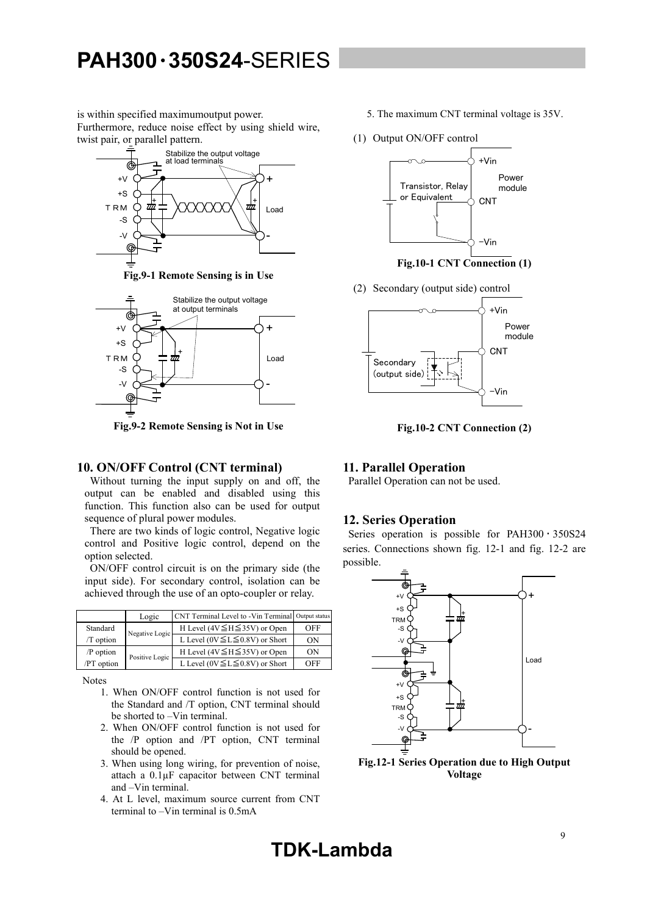is within specified maximumoutput power. Furthermore, reduce noise effect by using shield wire, twist pair, or parallel pattern.



**Fig.9-1 Remote Sensing is in Use** 



**Fig.9-2 Remote Sensing is Not in Use** 

#### **10. ON/OFF Control (CNT terminal)**

 Without turning the input supply on and off, the output can be enabled and disabled using this function. This function also can be used for output sequence of plural power modules.

 There are two kinds of logic control, Negative logic control and Positive logic control, depend on the option selected.

 ON/OFF control circuit is on the primary side (the input side). For secondary control, isolation can be achieved through the use of an opto-coupler or relay.

|            | Logic          | CNT Terminal Level to -Vin Terminal Output status |     |
|------------|----------------|---------------------------------------------------|-----|
| Standard   | Negative Logic | H Level ( $4V \leq H \leq 35V$ ) or Open          | OFF |
| /T option  |                | L Level ( $0V \le L \le 0.8V$ ) or Short          | ON  |
| /P option  | Positive Logic | H Level ( $4V \leq H \leq 35V$ ) or Open          | ON  |
| /PT option |                | L Level ( $0V \le L \le 0.8V$ ) or Short          | OFF |

Notes

- 1. When ON/OFF control function is not used for the Standard and /T option, CNT terminal should be shorted to –Vin terminal.
- 2. When ON/OFF control function is not used for the /P option and /PT option, CNT terminal should be opened.
- 3. When using long wiring, for prevention of noise, attach a 0.1µF capacitor between CNT terminal and –Vin terminal.
- 4. At L level, maximum source current from CNT terminal to –Vin terminal is 0.5mA
- 5. The maximum CNT terminal voltage is 35V.
- (1) Output ON/OFF control



**Fig.10-1 CNT Connection (1)** 

(2) Secondary (output side) control



**Fig.10-2 CNT Connection (2)** 

#### **11. Parallel Operation**

Parallel Operation can not be used.

#### **12. Series Operation**

Series operation is possible for PAH300 · 350S24 series. Connections shown fig. 12-1 and fig. 12-2 are possible.



**Fig.12-1 Series Operation due to High Output Voltage** 

**TDK-Lambda**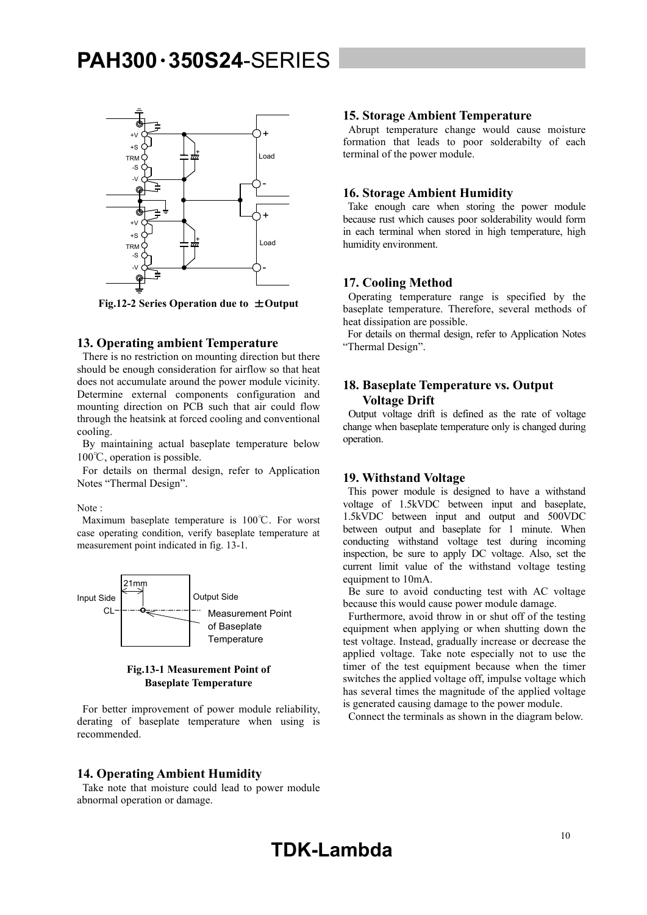

**Fig.12-2 Series Operation due to** ±**Output** 

#### **13. Operating ambient Temperature**

 There is no restriction on mounting direction but there should be enough consideration for airflow so that heat does not accumulate around the power module vicinity. Determine external components configuration and mounting direction on PCB such that air could flow through the heatsink at forced cooling and conventional cooling.

 By maintaining actual baseplate temperature below 100℃, operation is possible.

 For details on thermal design, refer to Application Notes "Thermal Design".

Note :

 Maximum baseplate temperature is 100℃. For worst case operating condition, verify baseplate temperature at measurement point indicated in fig. 13-1.



#### **Fig.13-1 Measurement Point of Baseplate Temperature**

 For better improvement of power module reliability, derating of baseplate temperature when using is recommended.

#### **14. Operating Ambient Humidity**

 Take note that moisture could lead to power module abnormal operation or damage.

#### **15. Storage Ambient Temperature**

 Abrupt temperature change would cause moisture formation that leads to poor solderabilty of each terminal of the power module.

#### **16. Storage Ambient Humidity**

 Take enough care when storing the power module because rust which causes poor solderability would form in each terminal when stored in high temperature, high humidity environment.

#### **17. Cooling Method**

 Operating temperature range is specified by the baseplate temperature. Therefore, several methods of heat dissipation are possible.

 For details on thermal design, refer to Application Notes "Thermal Design".

#### **18. Baseplate Temperature vs. Output Voltage Drift**

 Output voltage drift is defined as the rate of voltage change when baseplate temperature only is changed during operation.

#### **19. Withstand Voltage**

 This power module is designed to have a withstand voltage of 1.5kVDC between input and baseplate, 1.5kVDC between input and output and 500VDC between output and baseplate for 1 minute. When conducting withstand voltage test during incoming inspection, be sure to apply DC voltage. Also, set the current limit value of the withstand voltage testing equipment to 10mA.

 Be sure to avoid conducting test with AC voltage because this would cause power module damage.

 Furthermore, avoid throw in or shut off of the testing equipment when applying or when shutting down the test voltage. Instead, gradually increase or decrease the applied voltage. Take note especially not to use the timer of the test equipment because when the timer switches the applied voltage off, impulse voltage which has several times the magnitude of the applied voltage is generated causing damage to the power module.

Connect the terminals as shown in the diagram below.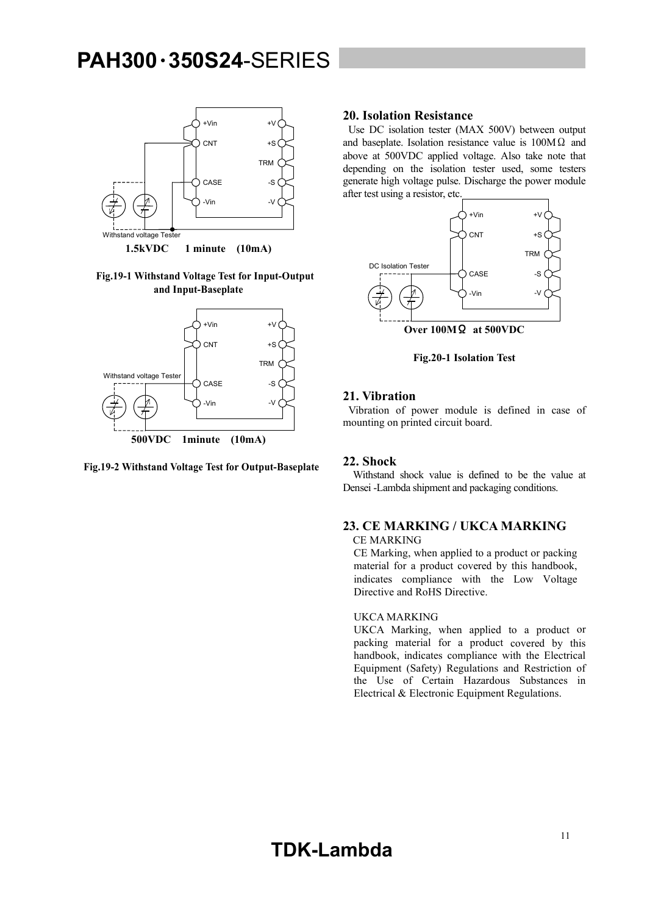

**Fig.19-1 Withstand Voltage Test for Input-Output and Input-Baseplate** 



**Fig.19-2 Withstand Voltage Test for Output-Baseplate** 

#### **20. Isolation Resistance**

 Use DC isolation tester (MAX 500V) between output and baseplate. Isolation resistance value is  $100M\Omega$  and above at 500VDC applied voltage. Also take note that depending on the isolation tester used, some testers generate high voltage pulse. Discharge the power module after test using a resistor, etc.



**Fig.20-1 Isolation Test** 

#### **21. Vibration**

 Vibration of power module is defined in case of mounting on printed circuit board.

#### **22. Shock**

 Withstand shock value is defined to be the value at Densei -Lambda shipment and packaging conditions.

#### **23. CE MARKING / UKCA MARKING**

CE MARKING

CE Marking, when applied to a product or packing material for a product covered by this handbook, indicates compliance with the Low Voltage Directive and RoHS Directive.

#### UKCA MARKING

UKCA Marking, when applied to a product or packing material for a product covered by this handbook, indicates compliance with the Electrical Equipment (Safety) Regulations and Restriction of the Use of Certain Hazardous Substances in Electrical & Electronic Equipment Regulations.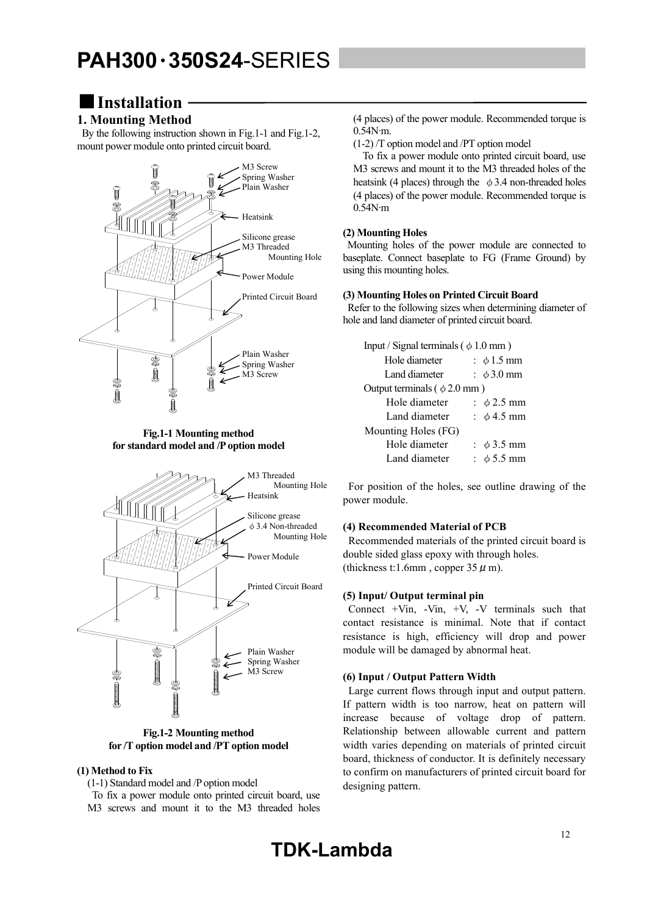### ■**Installation**

#### **1. Mounting Method**

 By the following instruction shown in Fig.1-1 and Fig.1-2, mount power module onto printed circuit board.



**Fig.1-1 Mounting method for standard model and /P option model** 



**Fig.1-2 Mounting method for /T option model and /PT option model** 

#### **(1) Method to Fix**

(1-1) Standard model and /P option model

 To fix a power module onto printed circuit board, use M3 screws and mount it to the M3 threaded holes (4 places) of the power module. Recommended torque is 0.54N∙m.

(1-2) /T option model and /PT option model

 To fix a power module onto printed circuit board, use M3 screws and mount it to the M3 threaded holes of the heatsink (4 places) through the  $\phi$  3.4 non-threaded holes (4 places) of the power module. Recommended torque is 0.54N∙m

#### **(2) Mounting Holes**

 Mounting holes of the power module are connected to baseplate. Connect baseplate to FG (Frame Ground) by using this mounting holes.

#### **(3) Mounting Holes on Printed Circuit Board**

 Refer to the following sizes when determining diameter of hole and land diameter of printed circuit board.

| Input / Signal terminals ( $\phi$ 1.0 mm) |  |                                    |  |  |  |  |
|-------------------------------------------|--|------------------------------------|--|--|--|--|
| Hole diameter                             |  | : $\phi$ 1.5 mm                    |  |  |  |  |
| Land diameter                             |  | $\div$ $\phi$ 3.0 mm               |  |  |  |  |
| Output terminals ( $\phi$ 2.0 mm)         |  |                                    |  |  |  |  |
| Hole diameter                             |  | : $\phi$ 2.5 mm                    |  |  |  |  |
| Land diameter                             |  | $\frac{\text{1}}{2}$ $\phi$ 4.5 mm |  |  |  |  |
| Mounting Holes (FG)                       |  |                                    |  |  |  |  |
| Hole diameter                             |  | : $\phi$ 3.5 mm                    |  |  |  |  |
| Land diameter                             |  | $\pm \phi$ 5.5 mm                  |  |  |  |  |

 For position of the holes, see outline drawing of the power module.

#### **(4) Recommended Material of PCB**

 Recommended materials of the printed circuit board is double sided glass epoxy with through holes. (thickness t:1.6mm, copper  $35 \mu$  m).

#### **(5) Input/ Output terminal pin**

Connect  $+V$ in,  $-V$ in,  $+V$ ,  $-V$  terminals such that contact resistance is minimal. Note that if contact resistance is high, efficiency will drop and power module will be damaged by abnormal heat.

#### **(6) Input / Output Pattern Width**

 Large current flows through input and output pattern. If pattern width is too narrow, heat on pattern will increase because of voltage drop of pattern. Relationship between allowable current and pattern width varies depending on materials of printed circuit board, thickness of conductor. It is definitely necessary to confirm on manufacturers of printed circuit board for designing pattern.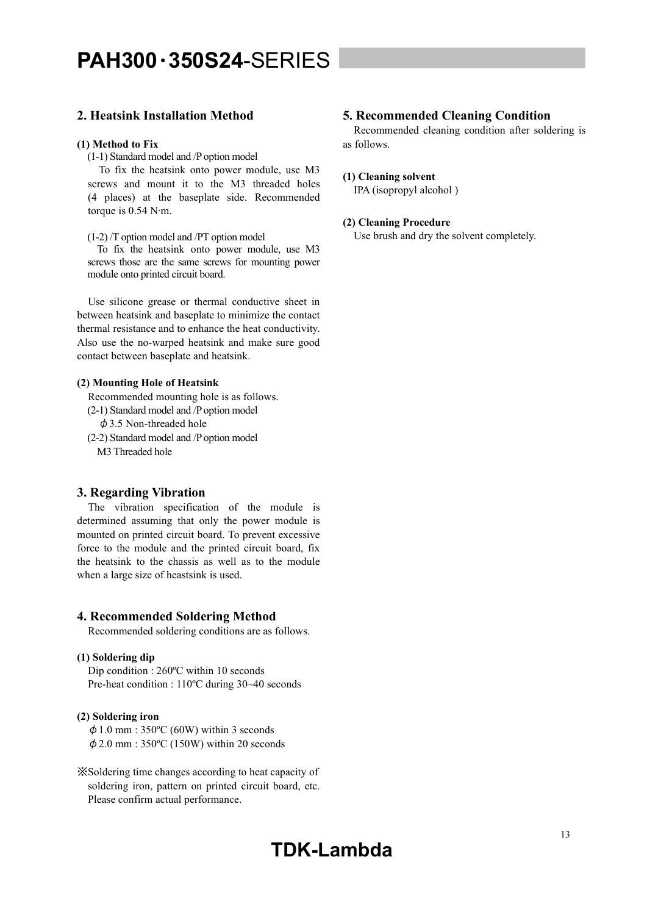#### **2. Heatsink Installation Method**

#### **(1) Method to Fix**

(1-1) Standard model and /P option model

 To fix the heatsink onto power module, use M3 screws and mount it to the M3 threaded holes (4 places) at the baseplate side. Recommended torque is 0.54 N∙m.

(1-2) /T option model and /PT option model

 To fix the heatsink onto power module, use M3 screws those are the same screws for mounting power module onto printed circuit board.

 Use silicone grease or thermal conductive sheet in between heatsink and baseplate to minimize the contact thermal resistance and to enhance the heat conductivity. Also use the no-warped heatsink and make sure good contact between baseplate and heatsink.

#### **(2) Mounting Hole of Heatsink**

Recommended mounting hole is as follows.

(2-1) Standard model and /P option model

φ3.5 Non-threaded hole

(2-2) Standard model and /P option model M3 Threaded hole

#### **3. Regarding Vibration**

 The vibration specification of the module is determined assuming that only the power module is mounted on printed circuit board. To prevent excessive force to the module and the printed circuit board, fix the heatsink to the chassis as well as to the module when a large size of heastsink is used.

#### **4. Recommended Soldering Method**

Recommended soldering conditions are as follows.

#### **(1) Soldering dip**

Dip condition : 260ºC within 10 seconds Pre-heat condition : 110ºC during 30~40 seconds

#### **(2) Soldering iron**

 $\phi$  1.0 mm : 350°C (60W) within 3 seconds  $\phi$  2.0 mm : 350°C (150W) within 20 seconds

※Soldering time changes according to heat capacity of soldering iron, pattern on printed circuit board, etc. Please confirm actual performance.

#### **5. Recommended Cleaning Condition**

 Recommended cleaning condition after soldering is as follows.

#### **(1) Cleaning solvent**

IPA (isopropyl alcohol )

#### **(2) Cleaning Procedure**

Use brush and dry the solvent completely.